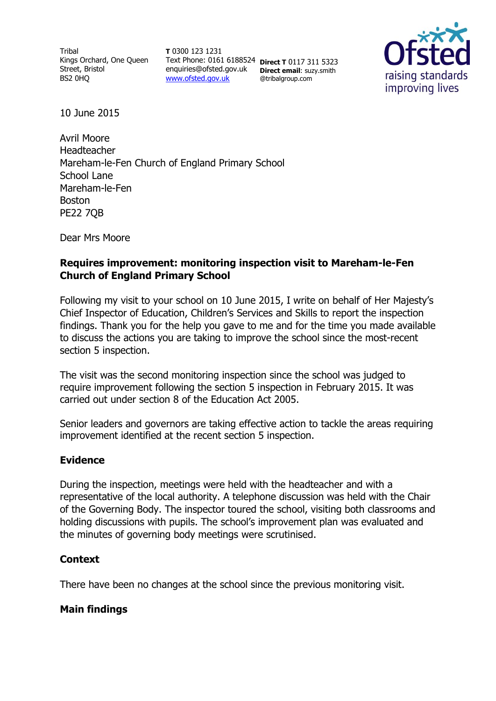Tribal Kings Orchard, One Queen Street, Bristol BS2 0HQ

**T** 0300 123 1231 Text Phone: 0161 6188524 **Direct T** 0117 311 5323 enquiries@ofsted.gov.uk **Direct email**: suzy.smith [www.ofsted.gov.uk](http://www.ofsted.gov.uk/)

@tribalgroup.com



10 June 2015

Avril Moore Headteacher Mareham-le-Fen Church of England Primary School School Lane Mareham-le-Fen Boston PE22 7QB

Dear Mrs Moore

## **Requires improvement: monitoring inspection visit to Mareham-le-Fen Church of England Primary School**

Following my visit to your school on 10 June 2015, I write on behalf of Her Majesty's Chief Inspector of Education, Children's Services and Skills to report the inspection findings. Thank you for the help you gave to me and for the time you made available to discuss the actions you are taking to improve the school since the most-recent section 5 inspection.

The visit was the second monitoring inspection since the school was judged to require improvement following the section 5 inspection in February 2015. It was carried out under section 8 of the Education Act 2005.

Senior leaders and governors are taking effective action to tackle the areas requiring improvement identified at the recent section 5 inspection.

### **Evidence**

During the inspection, meetings were held with the headteacher and with a representative of the local authority. A telephone discussion was held with the Chair of the Governing Body. The inspector toured the school, visiting both classrooms and holding discussions with pupils. The school's improvement plan was evaluated and the minutes of governing body meetings were scrutinised.

### **Context**

There have been no changes at the school since the previous monitoring visit.

# **Main findings**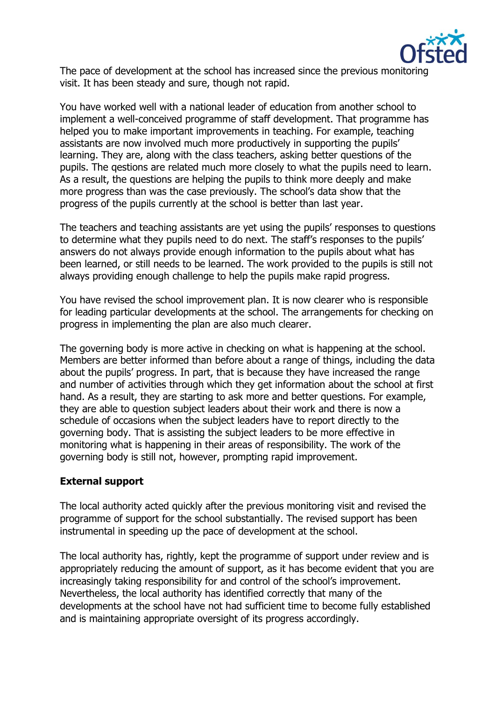

The pace of development at the school has increased since the previous monitoring visit. It has been steady and sure, though not rapid.

You have worked well with a national leader of education from another school to implement a well-conceived programme of staff development. That programme has helped you to make important improvements in teaching. For example, teaching assistants are now involved much more productively in supporting the pupils' learning. They are, along with the class teachers, asking better questions of the pupils. The qestions are related much more closely to what the pupils need to learn. As a result, the questions are helping the pupils to think more deeply and make more progress than was the case previously. The school's data show that the progress of the pupils currently at the school is better than last year.

The teachers and teaching assistants are yet using the pupils' responses to questions to determine what they pupils need to do next. The staff's responses to the pupils' answers do not always provide enough information to the pupils about what has been learned, or still needs to be learned. The work provided to the pupils is still not always providing enough challenge to help the pupils make rapid progress.

You have revised the school improvement plan. It is now clearer who is responsible for leading particular developments at the school. The arrangements for checking on progress in implementing the plan are also much clearer.

The governing body is more active in checking on what is happening at the school. Members are better informed than before about a range of things, including the data about the pupils' progress. In part, that is because they have increased the range and number of activities through which they get information about the school at first hand. As a result, they are starting to ask more and better questions. For example, they are able to question subject leaders about their work and there is now a schedule of occasions when the subject leaders have to report directly to the governing body. That is assisting the subject leaders to be more effective in monitoring what is happening in their areas of responsibility. The work of the governing body is still not, however, prompting rapid improvement.

### **External support**

The local authority acted quickly after the previous monitoring visit and revised the programme of support for the school substantially. The revised support has been instrumental in speeding up the pace of development at the school.

The local authority has, rightly, kept the programme of support under review and is appropriately reducing the amount of support, as it has become evident that you are increasingly taking responsibility for and control of the school's improvement. Nevertheless, the local authority has identified correctly that many of the developments at the school have not had sufficient time to become fully established and is maintaining appropriate oversight of its progress accordingly.